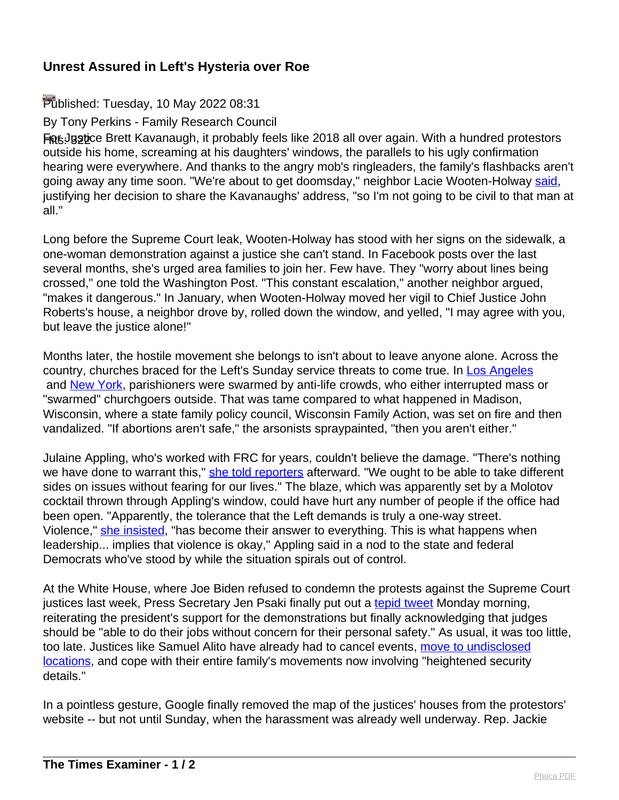## **Unrest Assured in Left's Hysteria over Roe**

## Published: Tuesday, 10 May 2022 08:31

By Tony Perkins - Family Research Council

For Justice Brett Kavanaugh, it probably feels like 2018 all over again. With a hundred protestors outside his home, screaming at his daughters' windows, the parallels to his ugly confirmation hearing were everywhere. And thanks to the angry mob's ringleaders, the family's flashbacks aren't going away any time soon. "We're about to get doomsday," neighbor Lacie Wooten-Holway [said,](https://www.washingtonpost.com/dc-md-va/2022/05/07/wooten-holway-protest-justice-kavanaugh-neighbor/) justifying her decision to share the Kavanaughs' address, "so I'm not going to be civil to that man at all."

Long before the Supreme Court leak, Wooten-Holway has stood with her signs on the sidewalk, a one-woman demonstration against a justice she can't stand. In Facebook posts over the last several months, she's urged area families to join her. Few have. They "worry about lines being crossed," one told the Washington Post. "This constant escalation," another neighbor argued, "makes it dangerous." In January, when Wooten-Holway moved her vigil to Chief Justice John Roberts's house, a neighbor drove by, rolled down the window, and yelled, "I may agree with you, but leave the justice alone!"

Months later, the hostile movement she belongs to isn't about to leave anyone alone. Across the country, churches braced for the Left's Sunday service threats to come true. In [Los Angeles](https://www.washingtontimes.com/news/2022/may/9/costumed-protesters-disrupt-mass-los-angeles-catho/) and [New York](https://www.foxnews.com/us/nyc-church-abortion-protesters), parishioners were swarmed by anti-life crowds, who either interrupted mass or "swarmed" churchgoers outside. That was tame compared to what happened in Madison, Wisconsin, where a state family policy council, Wisconsin Family Action, was set on fire and then vandalized. "If abortions aren't safe," the arsonists spraypainted, "then you aren't either."

Julaine Appling, who's worked with FRC for years, couldn't believe the damage. "There's nothing we have done to warrant this," [she told reporters](https://www.nytimes.com/2022/05/08/us/madison-anti-abortion-center-vandalized.html) afterward. "We ought to be able to take different sides on issues without fearing for our lives." The blaze, which was apparently set by a Molotov cocktail thrown through Appling's window, could have hurt any number of people if the office had been open. "Apparently, the tolerance that the Left demands is truly a one-way street. Violence," [she insisted,](https://wifamilyaction.org/wisconsin-family-action-responds-to-attack-on-its-office/) "has become their answer to everything. This is what happens when leadership... implies that violence is okay," Appling said in a nod to the state and federal Democrats who've stood by while the situation spirals out of control.

At the White House, where Joe Biden refused to condemn the protests against the Supreme Court justices last week, Press Secretary Jen Psaki finally put out a [tepid tweet](https://www.foxnews.com/politics/white-house-intimidate-pro-abortion-protests-churches) Monday morning, reiterating the president's support for the demonstrations but finally acknowledging that judges should be "able to do their jobs without concern for their personal safety." As usual, it was too little, too late. Justices like Samuel Alito have already had to cancel events, [move to undisclosed](https://www.breitbart.com/politics/2022/05/07/justice-samuel-alito-moved-undisclosed-location/) [locations,](https://www.breitbart.com/politics/2022/05/07/justice-samuel-alito-moved-undisclosed-location/) and cope with their entire family's movements now involving "heightened security details."

In a pointless gesture, Google finally removed the map of the justices' houses from the protestors' website -- but not until Sunday, when the harassment was already well underway. Rep. Jackie